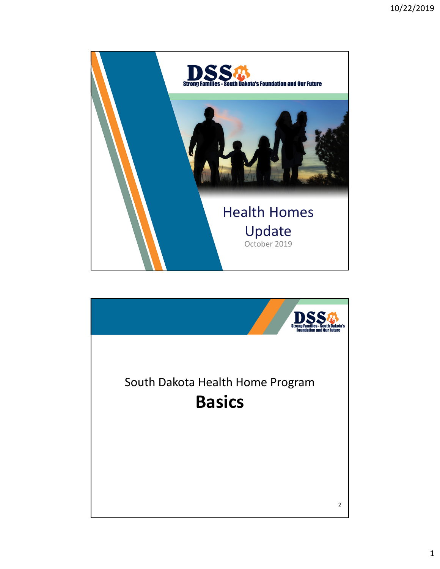

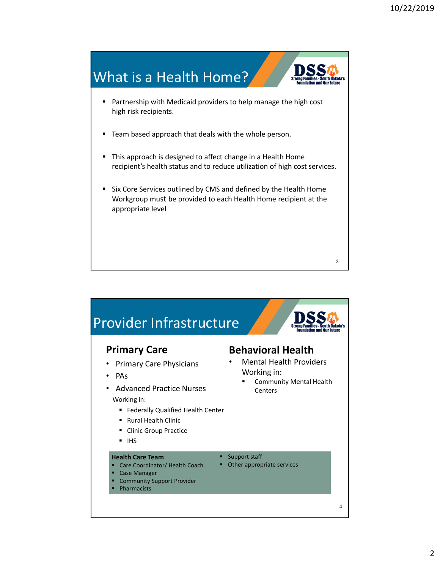![](_page_1_Figure_1.jpeg)

![](_page_1_Figure_2.jpeg)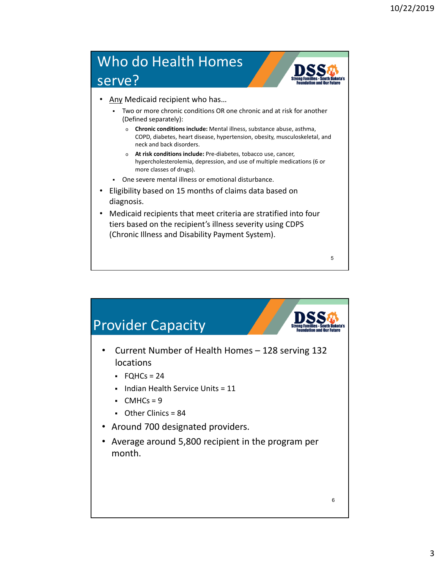## Who do Health Homes serve?

- Any Medicaid recipient who has…
	- Two or more chronic conditions OR one chronic and at risk for another (Defined separately):
		- o **Chronic conditions include:** Mental illness, substance abuse, asthma, COPD, diabetes, heart disease, hypertension, obesity, musculoskeletal, and neck and back disorders.
		- o **At risk conditions include:** Pre‐diabetes, tobacco use, cancer, hypercholesterolemia, depression, and use of multiple medications (6 or more classes of drugs).

5

- One severe mental illness or emotional disturbance.
- Eligibility based on 15 months of claims data based on diagnosis.
- Medicaid recipients that meet criteria are stratified into four tiers based on the recipient's illness severity using CDPS (Chronic Illness and Disability Payment System).

![](_page_2_Figure_9.jpeg)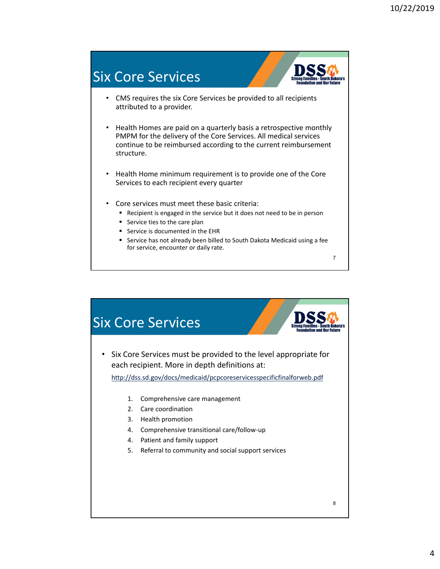![](_page_3_Figure_1.jpeg)

![](_page_3_Figure_2.jpeg)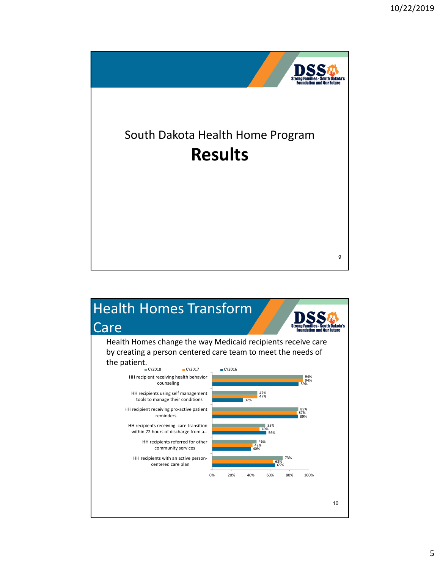![](_page_4_Picture_1.jpeg)

![](_page_4_Figure_2.jpeg)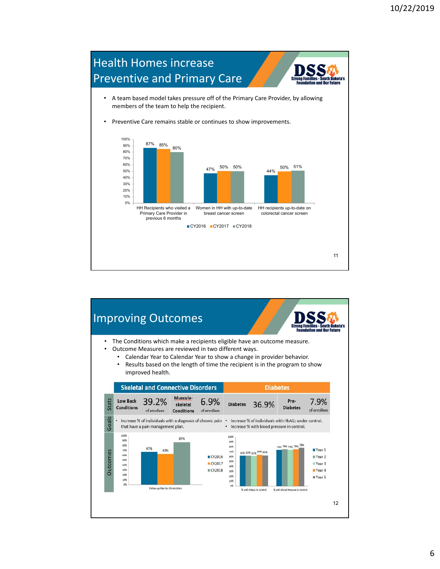![](_page_5_Figure_1.jpeg)

![](_page_5_Figure_2.jpeg)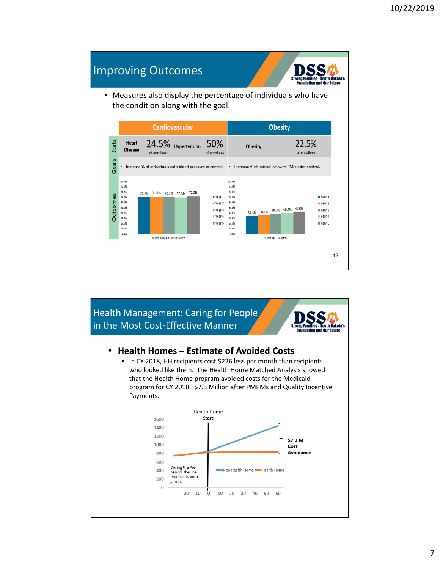## Improving Outcomes

![](_page_6_Picture_2.jpeg)

• Measures also display the percentage of individuals who have the condition along with the goal.

![](_page_6_Figure_4.jpeg)

![](_page_6_Figure_5.jpeg)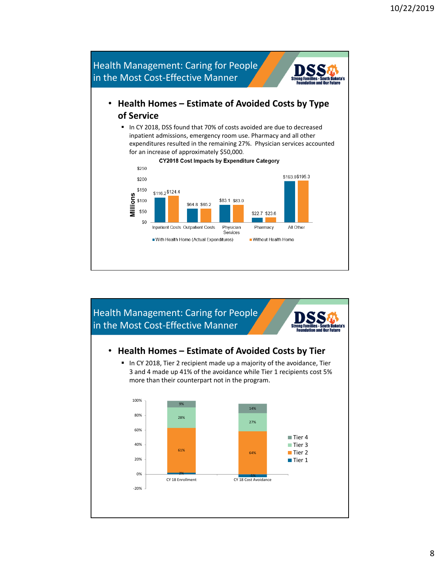![](_page_7_Figure_1.jpeg)

![](_page_7_Figure_2.jpeg)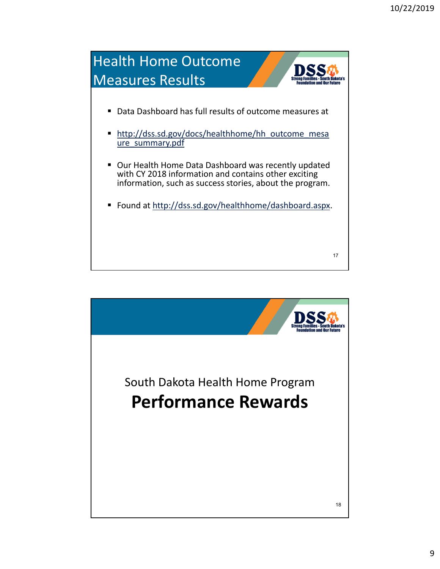![](_page_8_Figure_1.jpeg)

![](_page_8_Picture_2.jpeg)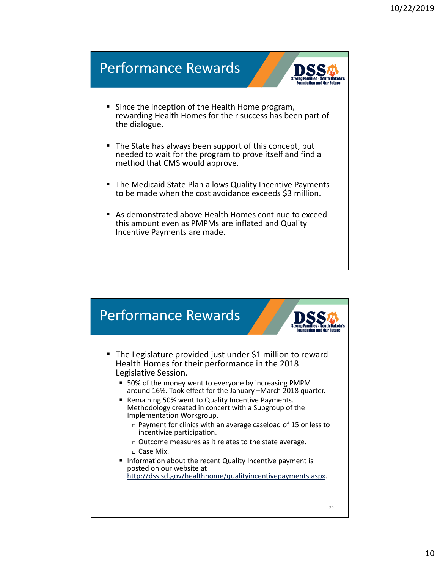![](_page_9_Figure_1.jpeg)

![](_page_9_Figure_2.jpeg)